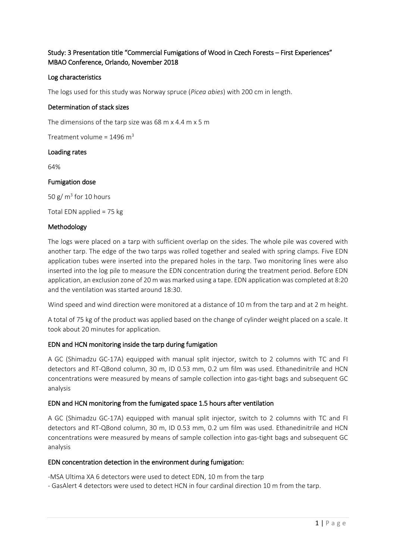# Study: 3 Presentation title "Commercial Fumigations of Wood in Czech Forests – First Experiences" MBAO Conference, Orlando, November 2018

# Log characteristics

The logs used for this study was Norway spruce (*Picea abies*) with 200 cm in length.

# Determination of stack sizes

The dimensions of the tarp size was 68 m x 4.4 m x 5 m

Treatment volume =  $1496 \text{ m}^3$ 

#### Loading rates

64%

#### Fumigation dose

50 g/ $m<sup>3</sup>$  for 10 hours

Total EDN applied = 75 kg

#### Methodology

The logs were placed on a tarp with sufficient overlap on the sides. The whole pile was covered with another tarp. The edge of the two tarps was rolled together and sealed with spring clamps. Five EDN application tubes were inserted into the prepared holes in the tarp. Two monitoring lines were also inserted into the log pile to measure the EDN concentration during the treatment period. Before EDN application, an exclusion zone of 20 m was marked using a tape. EDN application was completed at 8:20 and the ventilation was started around 18:30.

Wind speed and wind direction were monitored at a distance of 10 m from the tarp and at 2 m height.

A total of 75 kg of the product was applied based on the change of cylinder weight placed on a scale. It took about 20 minutes for application.

#### EDN and HCN monitoring inside the tarp during fumigation

A GC (Shimadzu GC-17A) equipped with manual split injector, switch to 2 columns with TC and FI detectors and RT-QBond column, 30 m, ID 0.53 mm, 0.2 um film was used. Ethanedinitrile and HCN concentrations were measured by means of sample collection into gas-tight bags and subsequent GC analysis

#### EDN and HCN monitoring from the fumigated space 1.5 hours after ventilation

A GC (Shimadzu GC-17A) equipped with manual split injector, switch to 2 columns with TC and FI detectors and RT-QBond column, 30 m, ID 0.53 mm, 0.2 um film was used. Ethanedinitrile and HCN concentrations were measured by means of sample collection into gas-tight bags and subsequent GC analysis

#### EDN concentration detection in the environment during fumigation:

-MSA Ultima XA 6 detectors were used to detect EDN, 10 m from the tarp

- GasAlert 4 detectors were used to detect HCN in four cardinal direction 10 m from the tarp.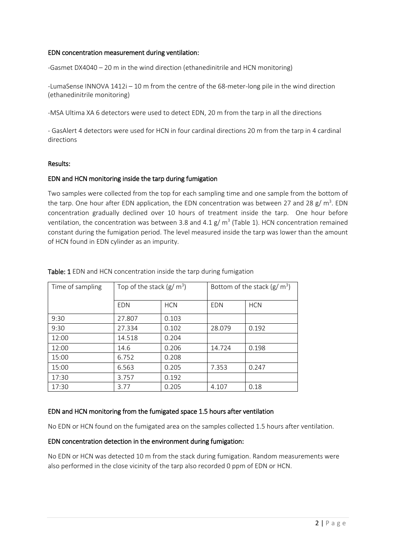### EDN concentration measurement during ventilation:

-Gasmet DX4040 – 20 m in the wind direction (ethanedinitrile and HCN monitoring)

-LumaSense INNOVA 1412i – 10 m from the centre of the 68-meter-long pile in the wind direction (ethanedinitrile monitoring)

-MSA Ultima XA 6 detectors were used to detect EDN, 20 m from the tarp in all the directions

- GasAlert 4 detectors were used for HCN in four cardinal directions 20 m from the tarp in 4 cardinal directions

#### Results:

# EDN and HCN monitoring inside the tarp during fumigation

Two samples were collected from the top for each sampling time and one sample from the bottom of the tarp. One hour after EDN application, the EDN concentration was between 27 and 28  $g/m^3$ . EDN concentration gradually declined over 10 hours of treatment inside the tarp. One hour before ventilation, the concentration was between 3.8 and 4.1 g/  $m<sup>3</sup>$  (Table 1). HCN concentration remained constant during the fumigation period. The level measured inside the tarp was lower than the amount of HCN found in EDN cylinder as an impurity.

| Time of sampling | Top of the stack $(g/m^3)$ |            | Bottom of the stack ( $g/m^3$ ) |            |
|------------------|----------------------------|------------|---------------------------------|------------|
|                  | <b>EDN</b>                 | <b>HCN</b> | <b>EDN</b>                      | <b>HCN</b> |
| 9:30             | 27.807                     | 0.103      |                                 |            |
| 9:30             | 27.334                     | 0.102      | 28.079                          | 0.192      |
| 12:00            | 14.518                     | 0.204      |                                 |            |
| 12:00            | 14.6                       | 0.206      | 14.724                          | 0.198      |
| 15:00            | 6.752                      | 0.208      |                                 |            |
| 15:00            | 6.563                      | 0.205      | 7.353                           | 0.247      |
| 17:30            | 3.757                      | 0.192      |                                 |            |
| 17:30            | 3.77                       | 0.205      | 4.107                           | 0.18       |

#### Table: 1 EDN and HCN concentration inside the tarp during fumigation

#### EDN and HCN monitoring from the fumigated space 1.5 hours after ventilation

No EDN or HCN found on the fumigated area on the samples collected 1.5 hours after ventilation.

# EDN concentration detection in the environment during fumigation:

No EDN or HCN was detected 10 m from the stack during fumigation. Random measurements were also performed in the close vicinity of the tarp also recorded 0 ppm of EDN or HCN.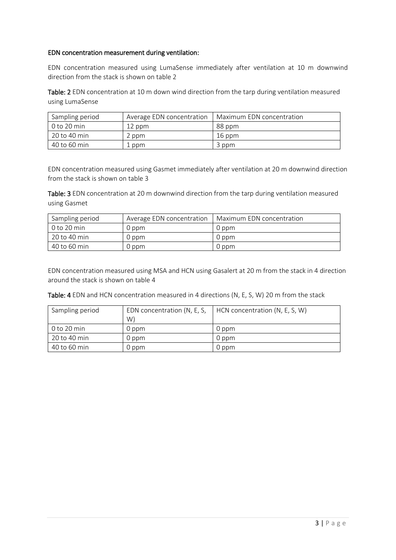# EDN concentration measurement during ventilation:

EDN concentration measured using LumaSense immediately after ventilation at 10 m downwind direction from the stack is shown on table 2

Table: 2 EDN concentration at 10 m down wind direction from the tarp during ventilation measured using LumaSense

| Sampling period | Average EDN concentration | Maximum EDN concentration |  |
|-----------------|---------------------------|---------------------------|--|
| 0 to 20 min     | 12 ppm                    | 88 ppm                    |  |
| 20 to 40 min    | 2 ppm                     | 16 ppm                    |  |
| 40 to 60 min    | l ppm                     | 3 ppm                     |  |

EDN concentration measured using Gasmet immediately after ventilation at 20 m downwind direction from the stack is shown on table 3

Table: 3 EDN concentration at 20 m downwind direction from the tarp during ventilation measured using Gasmet

| Sampling period | Average EDN concentration | Maximum EDN concentration |
|-----------------|---------------------------|---------------------------|
| $0$ to 20 min   | 0 ppm                     | 0 ppm                     |
| 20 to 40 min    | 0 ppm                     | 0 ppm                     |
| 40 to 60 min    | 0 ppm                     | 0 ppm                     |

EDN concentration measured using MSA and HCN using Gasalert at 20 m from the stack in 4 direction around the stack is shown on table 4

Table: 4 EDN and HCN concentration measured in 4 directions (N, E, S, W) 20 m from the stack

| Sampling period | EDN concentration (N, E, S,<br>W) | HCN concentration (N, E, S, W) |
|-----------------|-----------------------------------|--------------------------------|
| 0 to 20 min     | 0 ppm                             | 0 ppm                          |
| 20 to 40 min    | 0 ppm                             | 0 ppm                          |
| 40 to 60 min    | 0 ppm                             | 0 ppm                          |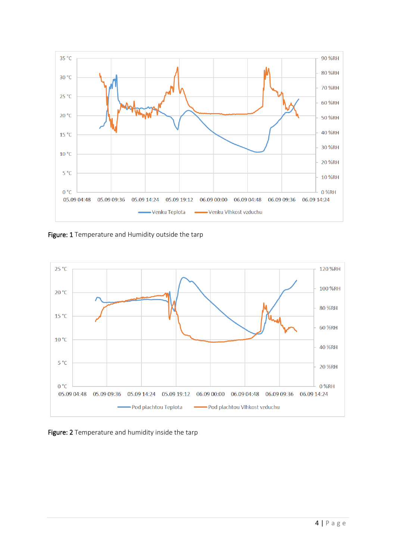

Figure: 1 Temperature and Humidity outside the tarp



Figure: 2 Temperature and humidity inside the tarp